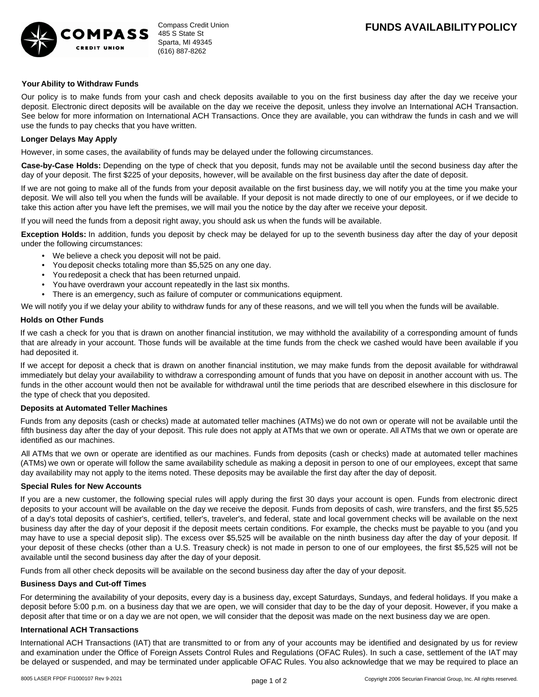

## **Your Ability to Withdraw Funds**

Our policy is to make funds from your cash and check deposits available to you on the first business day after the day we receive your deposit. Electronic direct deposits will be available on the day we receive the deposit, unless they involve an International ACH Transaction. See below for more information on International ACH Transactions. Once they are available, you can withdraw the funds in cash and we will use the funds to pay checks that you have written.

### **Longer Delays May Apply**

However, in some cases, the availability of funds may be delayed under the following circumstances.

**Case-by-Case Holds:** Depending on the type of check that you deposit, funds may not be available until the second business day after the day of your deposit. The first \$225 of your deposits, however, will be available on the first business day after the date of deposit.

If we are not going to make all of the funds from your deposit available on the first business day, we will notify you at the time you make your deposit. We will also tell you when the funds will be available. If your deposit is not made directly to one of our employees, or if we decide to take this action after you have left the premises, we will mail you the notice by the day after we receive your deposit.

If you will need the funds from a deposit right away, you should ask us when the funds will be available.

**Exception Holds:** In addition, funds you deposit by check may be delayed for up to the seventh business day after the day of your deposit under the following circumstances:

- We believe a check you deposit will not be paid.
- You deposit checks totaling more than \$5,525 on any one day. •
- You redeposit a check that has been returned unpaid. •
- You have overdrawn your account repeatedly in the last six months. •
- There is an emergency, such as failure of computer or communications equipment.

We will notify you if we delay your ability to withdraw funds for any of these reasons, and we will tell you when the funds will be available.

#### **Holds on Other Funds**

If we cash a check for you that is drawn on another financial institution, we may withhold the availability of a corresponding amount of funds that are already in your account. Those funds will be available at the time funds from the check we cashed would have been available if you had deposited it.

If we accept for deposit a check that is drawn on another financial institution, we may make funds from the deposit available for withdrawal immediately but delay your availability to withdraw a corresponding amount of funds that you have on deposit in another account with us. The funds in the other account would then not be available for withdrawal until the time periods that are described elsewhere in this disclosure for the type of check that you deposited.

#### **Deposits at Automated Teller Machines**

Funds from any deposits (cash or checks) made at automated teller machines (ATMs) we do not own or operate will not be available until the fifth business day after the day of your deposit. This rule does not apply at ATMs that we own or operate. All ATMs that we own or operate are identified as our machines.

All ATMs that we own or operate are identified as our machines. Funds from deposits (cash or checks) made at automated teller machines (ATMs) we own or operate will follow the same availability schedule as making a deposit in person to one of our employees, except that same day availability may not apply to the items noted. These deposits may be available the first day after the day of deposit.

#### **Special Rules for New Accounts**

If you are a new customer, the following special rules will apply during the first 30 days your account is open. Funds from electronic direct deposits to your account will be available on the day we receive the deposit. Funds from deposits of cash, wire transfers, and the first \$5,525 of a day's total deposits of cashier's, certified, teller's, traveler's, and federal, state and local government checks will be available on the next business day after the day of your deposit if the deposit meets certain conditions. For example, the checks must be payable to you (and you may have to use a special deposit slip). The excess over \$5,525 will be available on the ninth business day after the day of your deposit. If your deposit of these checks (other than a U.S. Treasury check) is not made in person to one of our employees, the first \$5,525 will not be available until the second business day after the day of your deposit.

Funds from all other check deposits will be available on the second business day after the day of your deposit.

#### **Business Days and Cut-off Times**

For determining the availability of your deposits, every day is a business day, except Saturdays, Sundays, and federal holidays. If you make a deposit before 5:00 p.m. on a business day that we are open, we will consider that day to be the day of your deposit. However, if you make a deposit after that time or on a day we are not open, we will consider that the deposit was made on the next business day we are open.

## **International ACH Transactions**

International ACH Transactions (IAT) that are transmitted to or from any of your accounts may be identified and designated by us for review and examination under the Office of Foreign Assets Control Rules and Regulations (OFAC Rules). In such a case, settlement of the IAT may be delayed or suspended, and may be terminated under applicable OFAC Rules. You also acknowledge that we may be required to place an